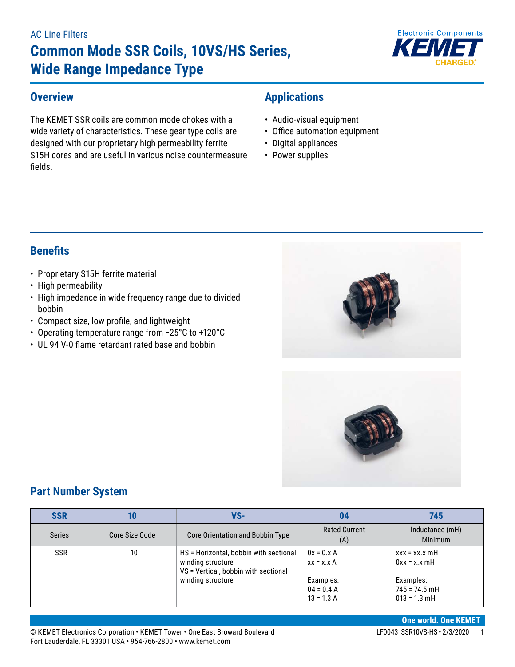#### AC Line Filters

# **Common Mode SSR Coils, 10VS/HS Series, Wide Range Impedance Type**



#### **Overview**

The KEMET SSR coils are common mode chokes with a wide variety of characteristics. These gear type coils are designed with our proprietary high permeability ferrite S15H cores and are useful in various noise countermeasure fields.

# **Applications**

- Audio-visual equipment
- Office automation equipment
- Digital appliances
- Power supplies

# **Benefits**

- Proprietary S15H ferrite material
- High permeability
- High impedance in wide frequency range due to divided bobbin
- • Compact size, low profile, and lightweight
- • Operating temperature range from −25°C to +120°C
- UL 94 V-0 flame retardant rated base and bobbin





### **Part Number System**

| <b>SSR</b>    |                | VS-                                                                                                 |                                           | 745                                            |
|---------------|----------------|-----------------------------------------------------------------------------------------------------|-------------------------------------------|------------------------------------------------|
| <b>Series</b> | Core Size Code | Core Orientation and Bobbin Type                                                                    | <b>Rated Current</b><br>(A)               | Inductance (mH)<br><b>Minimum</b>              |
| <b>SSR</b>    | 10             | HS = Horizontal, bobbin with sectional<br>winding structure<br>VS = Vertical, bobbin with sectional | $0x = 0.x A$<br>$xx = x.x A$              | $xxx = xx.x$ mH<br>$0xx = x.x$ mH              |
|               |                | winding structure                                                                                   | Examples:<br>$04 = 0.4 A$<br>$13 = 1.3 A$ | Examples:<br>$745 = 74.5$ mH<br>$013 = 1.3$ mH |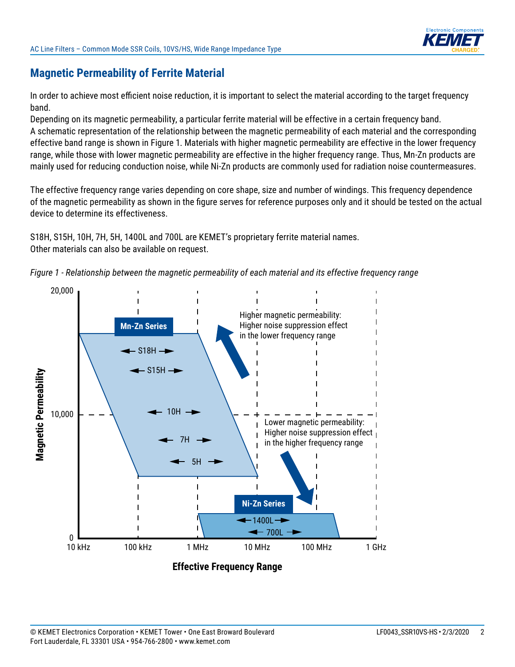

## **Magnetic Permeability of Ferrite Material**

In order to achieve most efficient noise reduction, it is important to select the material according to the target frequency band.

Depending on its magnetic permeability, a particular ferrite material will be effective in a certain frequency band. A schematic representation of the relationship between the magnetic permeability of each material and the corresponding effective band range is shown in Figure 1. Materials with higher magnetic permeability are effective in the lower frequency range, while those with lower magnetic permeability are effective in the higher frequency range. Thus, Mn-Zn products are mainly used for reducing conduction noise, while Ni-Zn products are commonly used for radiation noise countermeasures.

The effective frequency range varies depending on core shape, size and number of windings. This frequency dependence of the magnetic permeability as shown in the figure serves for reference purposes only and it should be tested on the actual device to determine its effectiveness.

S18H, S15H, 10H, 7H, 5H, 1400L and 700L are KEMET's proprietary ferrite material names. Other materials can also be available on request.



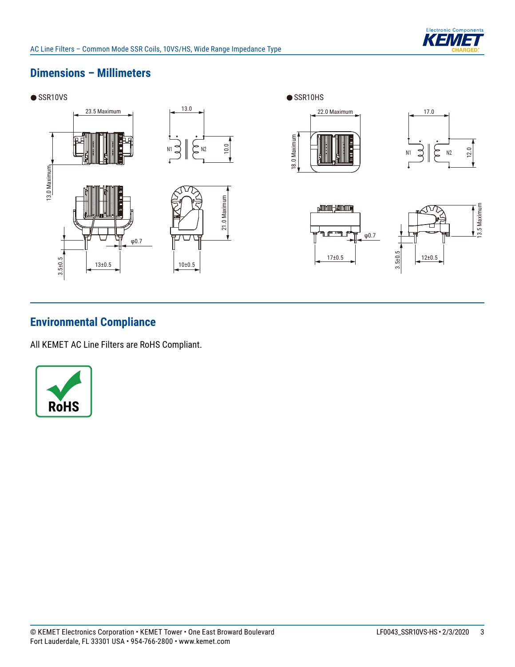

# **Dimensions – Millimeters**



# **Environmental Compliance**

All KEMET AC Line Filters are RoHS Compliant.

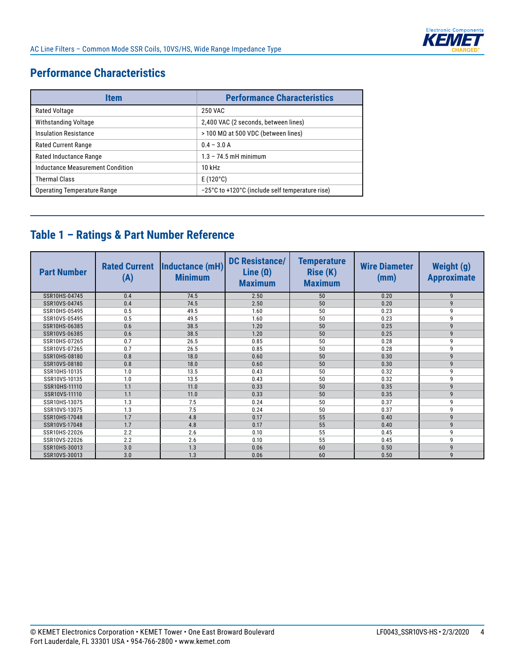

# **Performance Characteristics**

| Item                               | <b>Performance Characteristics</b>              |
|------------------------------------|-------------------------------------------------|
| Rated Voltage                      | 250 VAC                                         |
| Withstanding Voltage               | 2,400 VAC (2 seconds, between lines)            |
| <b>Insulation Resistance</b>       | $>$ 100 MΩ at 500 VDC (between lines)           |
| <b>Rated Current Range</b>         | $0.4 - 3.0 A$                                   |
| Rated Inductance Range             | $1.3 - 74.5$ mH minimum                         |
| Inductance Measurement Condition   | 10 kHz                                          |
| <b>Thermal Class</b>               | $E(120^{\circ}C)$                               |
| <b>Operating Temperature Range</b> | -25°C to +120°C (include self temperature rise) |

# **Table 1 – Ratings & Part Number Reference**

| <b>Part Number</b> | <b>Rated Current</b><br>(A) | Inductance (mH)<br><b>Minimum</b> | <b>DC Resistance/</b><br>Line $(\Omega)$<br><b>Maximum</b> | <b>Temperature</b><br><b>Rise (K)</b><br><b>Maximum</b> | <b>Wire Diameter</b><br>(mm) | <b>Weight (g)</b><br><b>Approximate</b> |
|--------------------|-----------------------------|-----------------------------------|------------------------------------------------------------|---------------------------------------------------------|------------------------------|-----------------------------------------|
| SSR10HS-04745      | 0.4                         | 74.5                              | 2.50                                                       | 50                                                      | 0.20                         | 9                                       |
| SSR10VS-04745      | 0.4                         | 74.5                              | 2.50                                                       | 50                                                      | 0.20                         | 9                                       |
| SSR10HS-05495      | 0.5                         | 49.5                              | 1.60                                                       | 50                                                      | 0.23                         | 9                                       |
| SSR10VS-05495      | 0.5                         | 49.5                              | 1.60                                                       | 50                                                      | 0.23                         | 9                                       |
| SSR10HS-06385      | 0.6                         | 38.5                              | 1.20                                                       | 50                                                      | 0.25                         | 9                                       |
| SSR10VS-06385      | 0.6                         | 38.5                              | 1.20                                                       | 50                                                      | 0.25                         | 9                                       |
| SSR10HS-07265      | 0.7                         | 26.5                              | 0.85                                                       | 50                                                      | 0.28                         | 9                                       |
| SSR10VS-07265      | 0.7                         | 26.5                              | 0.85                                                       | 50                                                      | 0.28                         | 9                                       |
| SSR10HS-08180      | 0.8                         | 18.0                              | 0.60                                                       | 50                                                      | 0.30                         | 9                                       |
| SSR10VS-08180      | 0.8                         | 18.0                              | 0.60                                                       | 50                                                      | 0.30                         | 9                                       |
| SSR10HS-10135      | 1.0                         | 13.5                              | 0.43                                                       | 50                                                      | 0.32                         | 9                                       |
| SSR10VS-10135      | 1.0                         | 13.5                              | 0.43                                                       | 50                                                      | 0.32                         | 9                                       |
| SSR10HS-11110      | 1.1                         | 11.0                              | 0.33                                                       | 50                                                      | 0.35                         | 9                                       |
| SSR10VS-11110      | 1.1                         | 11.0                              | 0.33                                                       | 50                                                      | 0.35                         | 9                                       |
| SSR10HS-13075      | 1.3                         | 7.5                               | 0.24                                                       | 50                                                      | 0.37                         | 9                                       |
| SSR10VS-13075      | 1.3                         | 7.5                               | 0.24                                                       | 50                                                      | 0.37                         | 9                                       |
| SSR10HS-17048      | 1.7                         | 4.8                               | 0.17                                                       | 55                                                      | 0.40                         | 9                                       |
| SSR10VS-17048      | 1.7                         | 4.8                               | 0.17                                                       | 55                                                      | 0.40                         | 9                                       |
| SSR10HS-22026      | 2.2                         | 2.6                               | 0.10                                                       | 55                                                      | 0.45                         | 9                                       |
| SSR10VS-22026      | 2.2                         | 2.6                               | 0.10                                                       | 55                                                      | 0.45                         | 9                                       |
| SSR10HS-30013      | 3.0                         | 1.3                               | 0.06                                                       | 60                                                      | 0.50                         | 9                                       |
| SSR10VS-30013      | 3.0                         | 1.3                               | 0.06                                                       | 60                                                      | 0.50                         | 9                                       |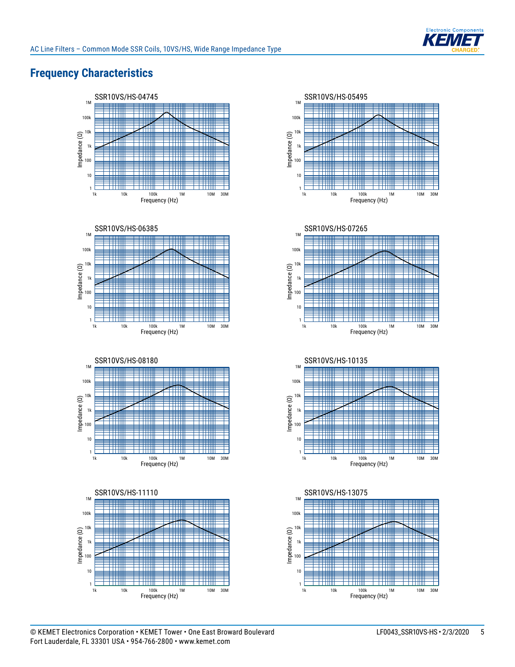

# **Frequency Characteristics**















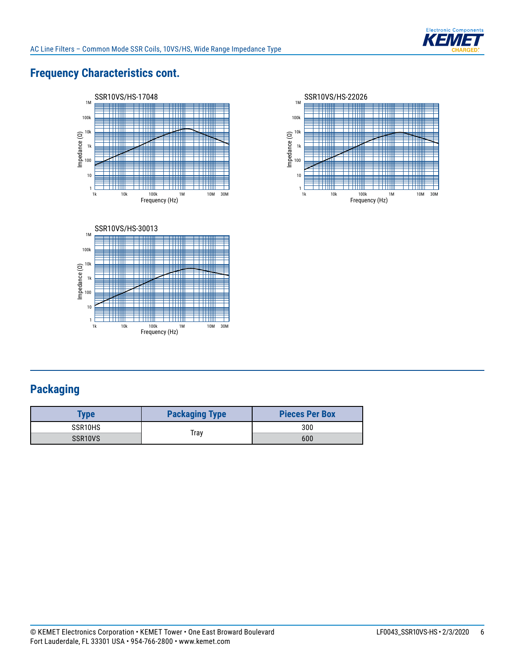

# **Frequency Characteristics cont.**







# **Packaging**

| <b>Type</b>          | <b>Packaging Type</b> | <b>Pieces Per Box</b> |
|----------------------|-----------------------|-----------------------|
| SSR <sub>10</sub> HS |                       | 300                   |
| SSR <sub>10</sub> VS | Trav                  | 600                   |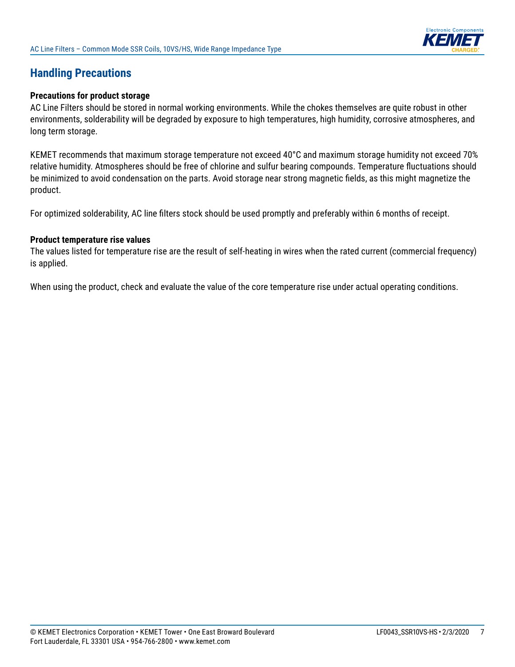

## **Handling Precautions**

#### **Precautions for product storage**

AC Line Filters should be stored in normal working environments. While the chokes themselves are quite robust in other environments, solderability will be degraded by exposure to high temperatures, high humidity, corrosive atmospheres, and long term storage.

KEMET recommends that maximum storage temperature not exceed 40°C and maximum storage humidity not exceed 70% relative humidity. Atmospheres should be free of chlorine and sulfur bearing compounds. Temperature fluctuations should be minimized to avoid condensation on the parts. Avoid storage near strong magnetic fields, as this might magnetize the product.

For optimized solderability, AC line filters stock should be used promptly and preferably within 6 months of receipt.

#### **Product temperature rise values**

The values listed for temperature rise are the result of self-heating in wires when the rated current (commercial frequency) is applied.

When using the product, check and evaluate the value of the core temperature rise under actual operating conditions.